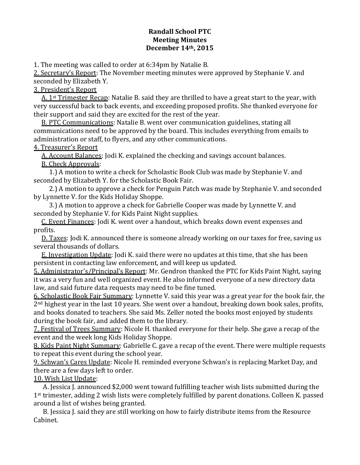## **Randall School PTC Meeting Minutes December 14th, 2015**

1. The meeting was called to order at 6:34pm by Natalie B.

2. Secretary's Report: The November meeting minutes were approved by Stephanie V. and seconded by Elizabeth Y.

3. President's Report

A.  $1<sup>st</sup>$  Trimester Recap: Natalie B. said they are thrilled to have a great start to the year, with very successful back to back events, and exceeding proposed profits. She thanked everyone for their support and said they are excited for the rest of the year.

B. PTC Communications: Natalie B. went over communication guidelines, stating all communications need to be approved by the board. This includes everything from emails to administration or staff, to flyers, and any other communications.

## 4. Treasurer's Report

A. Account Balances: Jodi K. explained the checking and savings account balances. B. Check Approvals: 

1.) A motion to write a check for Scholastic Book Club was made by Stephanie V. and seconded by Elizabeth Y. for the Scholastic Book Fair.

2.) A motion to approve a check for Penguin Patch was made by Stephanie V. and seconded by Lynnette V. for the Kids Holiday Shoppe.

3.) A motion to approve a check for Gabrielle Cooper was made by Lynnette V. and seconded by Stephanie V. for Kids Paint Night supplies.

C. Event Finances: Jodi K. went over a handout, which breaks down event expenses and profits.

D. Taxes: Jodi K. announced there is someone already working on our taxes for free, saving us several thousands of dollars.

E. Investigation Update: Jodi K. said there were no updates at this time, that she has been persistent in contacting law enforcement, and will keep us updated.

5. Administrator's/Principal's Report: Mr. Gendron thanked the PTC for Kids Paint Night, saying it was a very fun and well organized event. He also informed everyone of a new directory data law, and said future data requests may need to be fine tuned.

6. Scholastic Book Fair Summary: Lynnette V. said this year was a great year for the book fair, the  $2<sup>nd</sup>$  highest year in the last 10 years. She went over a handout, breaking down book sales, profits, and books donated to teachers. She said Ms. Zeller noted the books most enjoyed by students during the book fair, and added them to the library.

7. Festival of Trees Summary: Nicole H. thanked everyone for their help. She gave a recap of the event and the week long Kids Holiday Shoppe.

8. Kids Paint Night Summary: Gabrielle C. gave a recap of the event. There were multiple requests to repeat this event during the school year.

9. Schwan's Cares Update: Nicole H. reminded everyone Schwan's is replacing Market Day, and there are a few days left to order.

10. Wish List Update:

A. Jessica J. announced \$2,000 went toward fulfilling teacher wish lists submitted during the 1<sup>st</sup> trimester, adding 2 wish lists were completely fulfilled by parent donations. Colleen K. passed around a list of wishes being granted.

B. Jessica J. said they are still working on how to fairly distribute items from the Resource Cabinet.